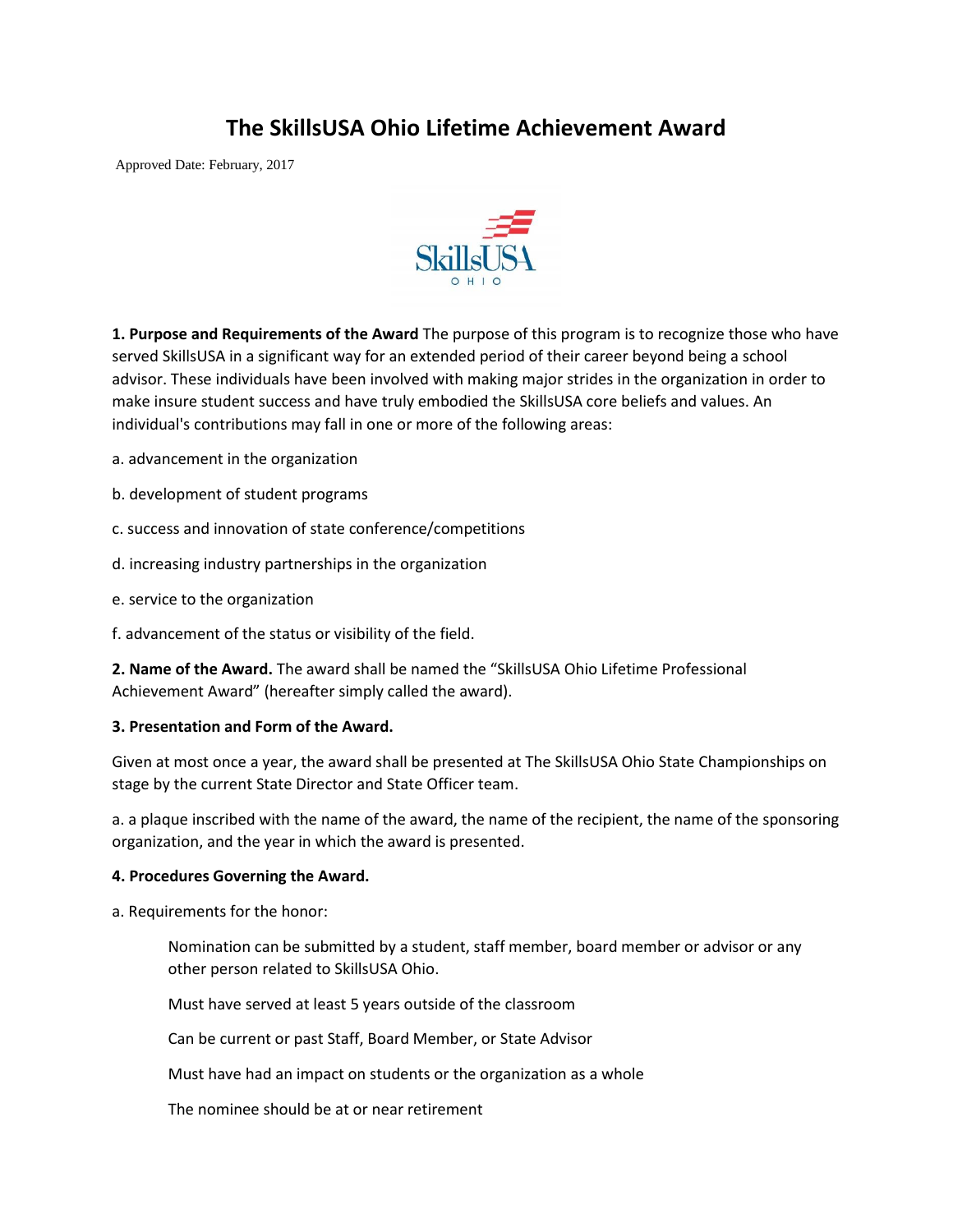## **The SkillsUSA Ohio Lifetime Achievement Award**

Approved Date: February, 2017



**1. Purpose and Requirements of the Award** The purpose of this program is to recognize those who have served SkillsUSA in a significant way for an extended period of their career beyond being a school advisor. These individuals have been involved with making major strides in the organization in order to make insure student success and have truly embodied the SkillsUSA core beliefs and values. An individual's contributions may fall in one or more of the following areas:

- a. advancement in the organization
- b. development of student programs
- c. success and innovation of state conference/competitions
- d. increasing industry partnerships in the organization
- e. service to the organization
- f. advancement of the status or visibility of the field.

**2. Name of the Award.** The award shall be named the "SkillsUSA Ohio Lifetime Professional Achievement Award" (hereafter simply called the award).

## **3. Presentation and Form of the Award.**

Given at most once a year, the award shall be presented at The SkillsUSA Ohio State Championships on stage by the current State Director and State Officer team.

a. a plaque inscribed with the name of the award, the name of the recipient, the name of the sponsoring organization, and the year in which the award is presented.

## **4. Procedures Governing the Award.**

a. Requirements for the honor:

Nomination can be submitted by a student, staff member, board member or advisor or any other person related to SkillsUSA Ohio.

Must have served at least 5 years outside of the classroom

Can be current or past Staff, Board Member, or State Advisor

Must have had an impact on students or the organization as a whole

The nominee should be at or near retirement